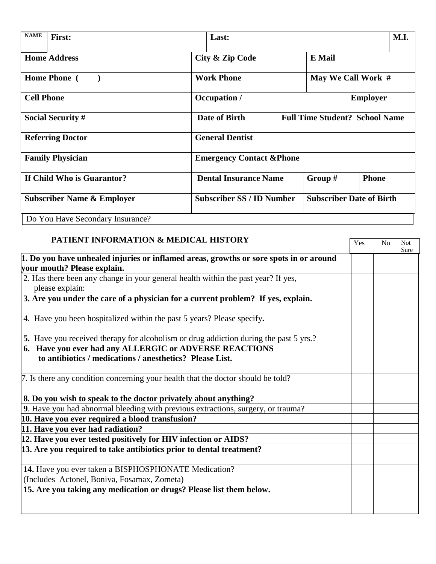| <b>NAME</b>                           | First:                           |                                                        | Last:                            |  |                                 | M.I.         |  |
|---------------------------------------|----------------------------------|--------------------------------------------------------|----------------------------------|--|---------------------------------|--------------|--|
| <b>Home Address</b>                   |                                  |                                                        | <b>City &amp; Zip Code</b>       |  | <b>E</b> Mail                   |              |  |
| <b>Home Phone</b> (                   |                                  |                                                        | <b>Work Phone</b>                |  | May We Call Work #              |              |  |
| <b>Cell Phone</b>                     |                                  |                                                        | Occupation /                     |  | <b>Employer</b>                 |              |  |
| <b>Social Security #</b>              |                                  | Date of Birth<br><b>Full Time Student? School Name</b> |                                  |  |                                 |              |  |
| <b>Referring Doctor</b>               |                                  | <b>General Dentist</b>                                 |                                  |  |                                 |              |  |
| <b>Family Physician</b>               |                                  | <b>Emergency Contact &amp; Phone</b>                   |                                  |  |                                 |              |  |
| If Child Who is Guarantor?            |                                  |                                                        | <b>Dental Insurance Name</b>     |  | Group #                         | <b>Phone</b> |  |
| <b>Subscriber Name &amp; Employer</b> |                                  |                                                        | <b>Subscriber SS / ID Number</b> |  | <b>Subscriber Date of Birth</b> |              |  |
|                                       | Do You Have Secondary Insurance? |                                                        |                                  |  |                                 |              |  |

| <b>PATIENT INFORMATION &amp; MEDICAL HISTORY</b>                                       | Yes | N <sub>o</sub> | <b>Not</b> |
|----------------------------------------------------------------------------------------|-----|----------------|------------|
|                                                                                        |     |                | Sure       |
| 1. Do you have unhealed injuries or inflamed areas, growths or sore spots in or around |     |                |            |
| your mouth? Please explain.                                                            |     |                |            |
| 2. Has there been any change in your general health within the past year? If yes,      |     |                |            |
| please explain:                                                                        |     |                |            |
| 3. Are you under the care of a physician for a current problem? If yes, explain.       |     |                |            |
| 4. Have you been hospitalized within the past 5 years? Please specify.                 |     |                |            |
| 5. Have you received therapy for alcoholism or drug addiction during the past 5 yrs.?  |     |                |            |
| 6. Have you ever had any ALLERGIC or ADVERSE REACTIONS                                 |     |                |            |
| to antibiotics / medications / anesthetics? Please List.                               |     |                |            |
| 7. Is there any condition concerning your health that the doctor should be told?       |     |                |            |
| 8. Do you wish to speak to the doctor privately about anything?                        |     |                |            |
| 9. Have you had abnormal bleeding with previous extractions, surgery, or trauma?       |     |                |            |
| 10. Have you ever required a blood transfusion?                                        |     |                |            |
| 11. Have you ever had radiation?                                                       |     |                |            |
| 12. Have you ever tested positively for HIV infection or AIDS?                         |     |                |            |
| 13. Are you required to take antibiotics prior to dental treatment?                    |     |                |            |
| 14. Have you ever taken a BISPHOSPHONATE Medication?                                   |     |                |            |
| (Includes Actonel, Boniva, Fosamax, Zometa)                                            |     |                |            |
| 15. Are you taking any medication or drugs? Please list them below.                    |     |                |            |
|                                                                                        |     |                |            |
|                                                                                        |     |                |            |